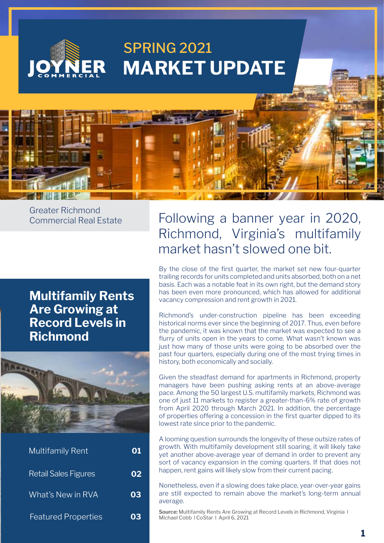

Greater Richmond Commercial Real Estate

### **Multifamily Rents Are Growing at Record Levels in Richmond**



| Multifamily Rent            | 01 |
|-----------------------------|----|
| <b>Retail Sales Figures</b> | 02 |
| What's New in RVA           | 03 |
| <b>Featured Properties</b>  | 03 |

## Following a banner year in 2020, Richmond, Virginia's multifamily market hasn't slowed one bit.

By the close of the first quarter, the market set new four-quarter trailing records for units completed and units absorbed, both on a net basis. Each was a notable feat in its own right, but the demand story has been even more pronounced, which has allowed for additional vacancy compression and rent growth in 2021.

Richmond's under-construction pipeline has been exceeding historical norms ever since the beginning of 2017. Thus, even before the pandemic, it was known that the market was expected to see a flurry of units open in the years to come. What wasn't known was just how many of those units were going to be absorbed over the past four quarters, especially during one of the most trying times in history, both economically and socially.

Given the steadfast demand for apartments in Richmond, property managers have been pushing asking rents at an above-average pace. Among the 50 largest U.S. multifamily markets, Richmond was one of just 11 markets to register a greater-than-6% rate of growth from April 2020 through March 2021. In addition, the percentage of properties offering a concession in the first quarter dipped to its lowest rate since prior to the pandemic.

A looming question surrounds the longevity of these outsize rates of growth. With multifamily development still soaring, it will likely take yet another above-average year of demand in order to prevent any sort of vacancy expansion in the coming quarters. If that does not happen, rent gains will likely slow from their current pacing.

Nonetheless, even if a slowing does take place, year-over-year gains are still expected to remain above the market's long-term annual average.

**Source:** Multifamily Rents Are Growing at Record Levels in Richmond, Virginia l Michael Cobb l CoStar l April 6, 2021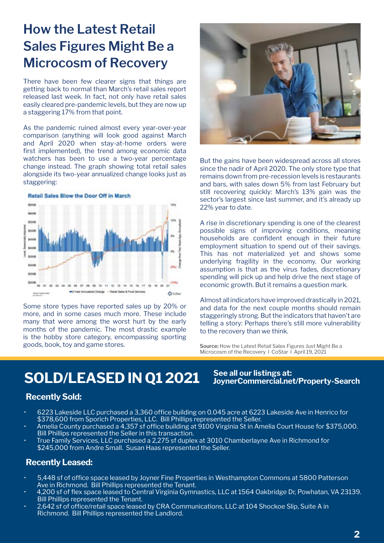# **How the Latest Retail Sales Figures Might Be a Microcosm of Recovery**

There have been few clearer signs that things are getting back to normal than March's retail sales report released last week. In fact, not only have retail sales easily cleared pre-pandemic levels, but they are now up a staggering 17% from that point.

As the pandemic ruined almost every year-over-year comparison (anything will look good against March and April 2020 when stay-at-home orders were first implemented), the trend among economic data watchers has been to use a two-year percentage change instead. The graph showing total retail sales alongside its two-year annualized change looks just as staggering:



Some store types have reported sales up by 20% or more, and in some cases much more. These include many that were among the worst hurt by the early months of the pandemic. The most drastic example is the hobby store category, encompassing sporting goods, book, toy and game stores.



But the gains have been widespread across all stores since the nadir of April 2020. The only store type that remains down from pre-recession levels is restaurants and bars, with sales down 5% from last February but still recovering quickly: March's 13% gain was the sector's largest since last summer, and it's already up 22% year to date.

A rise in discretionary spending is one of the clearest possible signs of improving conditions, meaning households are confident enough in their future employment situation to spend out of their savings. This has not materialized yet and shows some underlying fragility in the economy. Our working assumption is that as the virus fades, discretionary spending will pick up and help drive the next stage of economic growth. But it remains a question mark.

Almost all indicators have improved drastically in 2021, and data for the next couple months should remain staggeringly strong. But the indicators that haven't are telling a story: Perhaps there's still more vulnerability to the recovery than we think.

**JoynerCommercial.net/Property-Search**

**Source:** How the Latest Retail Sales Figures Just Might Be a Microcosm of the Recovery l CoStar l April 19, 2021

# **SOLD/LEASED IN Q1 2021** See all our listings at:

#### **Recently Sold:**

- 6223 Lakeside LLC purchased a 3,360 office building on 0.045 acre at 6223 Lakeside Ave in Henrico for \$378,600 from Sporich Properties, LLC. Bill Phillips represented the Seller.
- Amelia County purchased a 4,357 sf office building at 9100 Virginia St in Amelia Court House for \$375,000. Bill Phillips represented the Seller in this transaction.
- True Family Services, LLC purchased a 2,275 sf duplex at 3010 Chamberlayne Ave in Richmond for \$245,000 from Andre Small. Susan Haas represented the Seller.

#### **Recently Leased:**

- 5,448 sf of office space leased by Joyner Fine Properties in Westhampton Commons at 5800 Patterson Ave in Richmond. Bill Phillips represented the Tenant.
- 4,200 sf of flex space leased to Central Virginia Gymnastics, LLC at 1564 Oakbridge Dr, Powhatan, VA 23139. Bill Phillips represented the Tenant.
- 2,642 sf of office/retail space leased by CRA Communications, LLC at 104 Shockoe Slip, Suite A in Richmond. Bill Phillips represented the Landlord.

**2**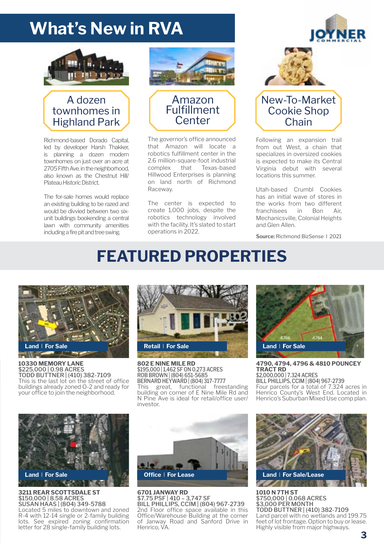# **What's New in RVA**



#### A dozen townhomes in Highland Park

Richmond-based Dorado Capital, led by developer Harsh Thakker, is planning a dozen modern townhomes on just over an acre at 2705 Fifth Ave. in the neighborhood, also known as the Chestnut Hill/ Plateau Historic District.

The for-sale homes would replace an existing building to be razed and would be divvied between two sixunit buildings bookending a central lawn with community amenities including a fire pit and tree swing.





The governor's office announced that Amazon will locate a robotics fulfillment center in the 2.6 million-square-foot industrial complex that Texas-based Hillwood Enterprises is planning on land north of Richmond Raceway.

The center is expected to create 1,000 jobs, despite the robotics technology involved with the facility. It's slated to start operations in 2022.



#### New-To-Market Cookie Shop **Chain**

Following an expansion trail from out West, a chain that specializes in oversized cookies is expected to make its Central Virginia debut with several locations this summer.

Utah-based Crumbl Cookies has an initial wave of stores in the works from two different franchisees in Bon Air, Mechanicsville, Colonial Heights and Glen Allen.

**Source:** Richmond BizSense l 2021

# **FEATURED PROPERTIES**



**10330 MEMORY LANE** \$225,000 | 0.98 ACRES TODD BUTTNER | (410) 382-7109 This is the last lot on the street of office buildings already zoned O-2 and ready for your office to join the neighborhood.



**802 E NINE MILE RD** \$195,000 | 1,462 SF ON 0.273 ACRES ROB BROWN | (804) 651-5685 BERNARD HEYWARD | (804) 317-7777 This great, functional freestanding building on corner of E Nine Mile Rd and N Pine Ave is ideal for retail/office user/ investor.



**4790, 4794, 4796 & 4810 POUNCEY TRACT RD** \$2,000,000 | 7.324 ACRES BILL PHILLIPS, CCIM | (804) 967-2739 Four parcels for a total of 7.324 acres in Henrico County's West End. Located in

Henrico's Suburban Mixed Use comp plan.

**Land** l **For Sale**

#### **3211 REAR SCOTTSDALE ST** \$150,000 | 8.58 ACRES SUSAN HAAS | (804) 349-5788

Located 5 miles to downtown and zoned R-4 with 12-14 single or 2-family building lots. See expired zoning confirmation letter for 28 single-family building lots.



**6701 JANWAY RD** \$7.75 PSF | 410 – 3,747 SF BILL PHILLIPS, CCIM | (804) 967-2739 2nd Floor office space available in this Office/Warehouse Building at the corner of Janway Road and Sanford Drive in Henrico, VA.



**1010 N 7TH ST** \$750,000 | 0.068 ACRES \$3,000 PER MONTH TODD BUTTNER | (410) 382-7109 Land parcel with no wetlands and 199.75 feet of lot frontage. Option to buy or lease. Highly visible from major highways.